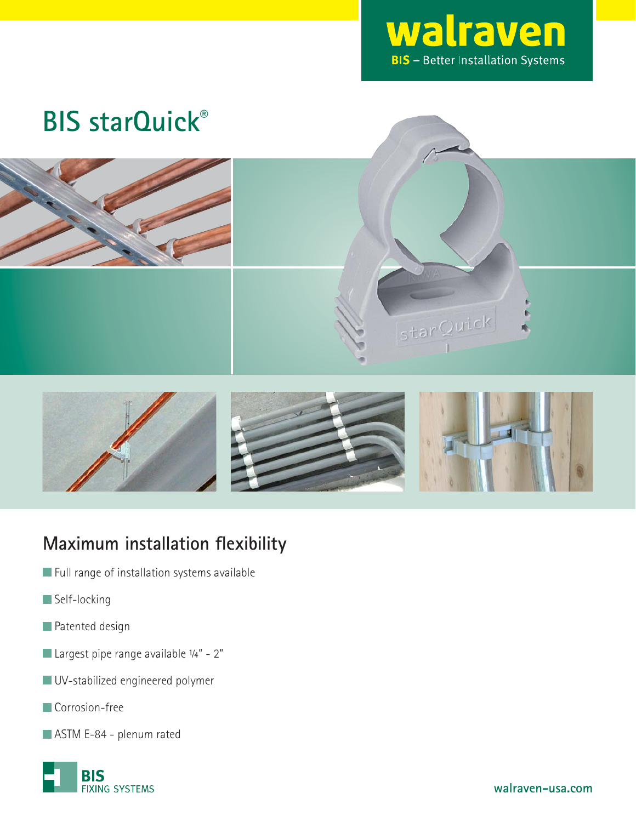

starQuick

# **BIS starQuick**®





### **Maximum installation flexibility**

- **Full range of installation systems available**
- Self-locking
- **Patented design**
- Largest pipe range available 1/4" 2"
- UV-stabilized engineered polymer
- **Corrosion-free**
- ASTM E-84 plenum rated

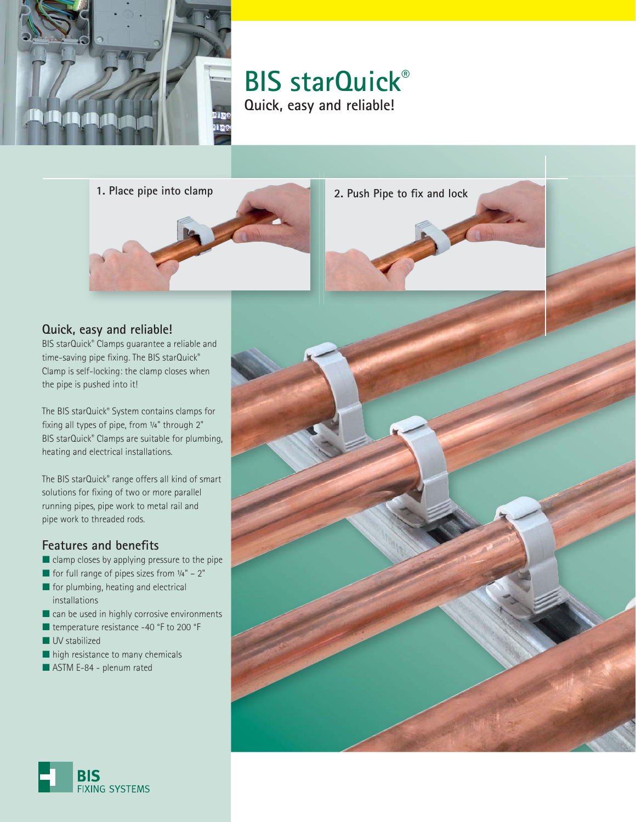

**BIS starQuick**® **Quick, easy and reliable!**

**1. Place pipe into clamp 2. Push Pipe to fix and lock** 

#### **Quick, easy and reliable!**

BIS starQuick® Clamps guarantee a reliable and time-saving pipe fixing. The BIS starQuick® Clamp is self-locking: the clamp closes when the pipe is pushed into it!

The BIS starQuick® System contains clamps for fixing all types of pipe, from 1/4" through 2" BIS starQuick® Clamps are suitable for plumbing, heating and electrical installations.

The BIS starQuick® range offers all kind of smart solutions for fixing of two or more parallel running pipes, pipe work to metal rail and pipe work to threaded rods.

#### **Features and benefits**

- clamp closes by applying pressure to the pipe
- $\blacksquare$  for full range of pipes sizes from  $\frac{1}{4}$ " 2"
- for plumbing, heating and electrical installations
- can be used in highly corrosive environments
- temperature resistance -40 °F to 200 °F
- UV stabilized
- high resistance to many chemicals
- ASTM E-84 plenum rated



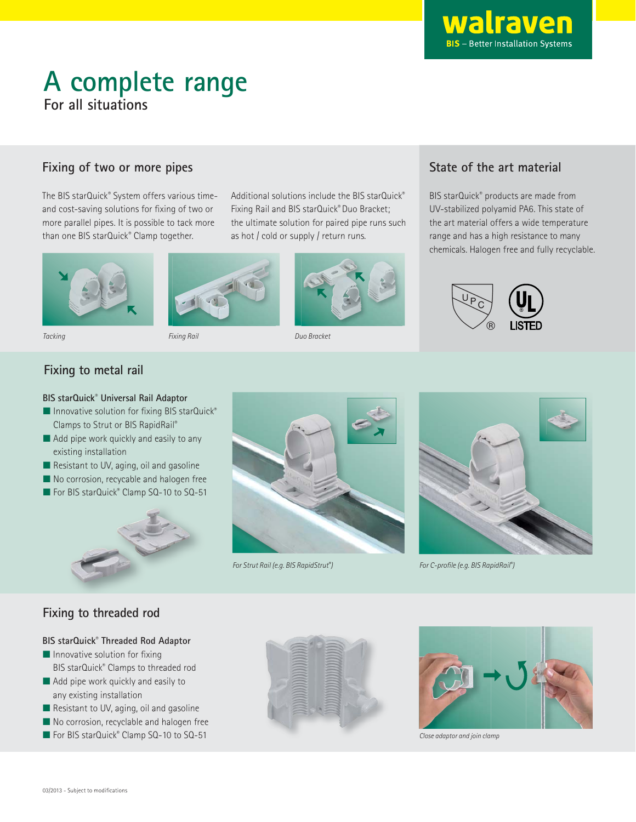

# **A complete range For all situations**

#### **Fixing of two or more pipes**

The BIS starQuick® System offers various timeand cost-saving solutions for fixing of two or more parallel pipes. It is possible to tack more than one BIS starQuick® Clamp together.





Fixing Rail Tacking Duo Bracket

Additional solutions include the BIS starQuick® Fixing Rail and BIS starQuick® Duo Bracket; the ultimate solution for paired pipe runs such as hot / cold or supply / return runs.



#### **State of the art material**

BIS starQuick® products are made from UV-stabilized polyamid PA6. This state of the art material offers a wide temperature range and has a high resistance to many chemicals. Halogen free and fully recyclable.



#### **Fixing to metal rail**

#### **BIS starQuick® Universal Rail Adaptor**

- Innovative solution for fixing BIS starQuick® Clamps to Strut or BIS RapidRail®
- Add pipe work quickly and easily to any existing installation
- Resistant to UV, aging, oil and gasoline
- No corrosion, recycable and halogen free
- For BIS starQuick® Clamp SQ-10 to SQ-51



For Strut Rail (e.g. BIS RapidStrut®



) For C-profile (e.g. BIS RapidRail®)

#### **Fixing to threaded rod**

#### **BIS starQuick® Threaded Rod Adaptor**

- $\blacksquare$  Innovative solution for fixing BIS starQuick® Clamps to threaded rod
- Add pipe work quickly and easily to any existing installation
- Resistant to UV, aging, oil and gasoline
- No corrosion, recyclable and halogen free
- For BIS starQuick® Clamp SQ-10 to SQ-51





Close adaptor and join clamp